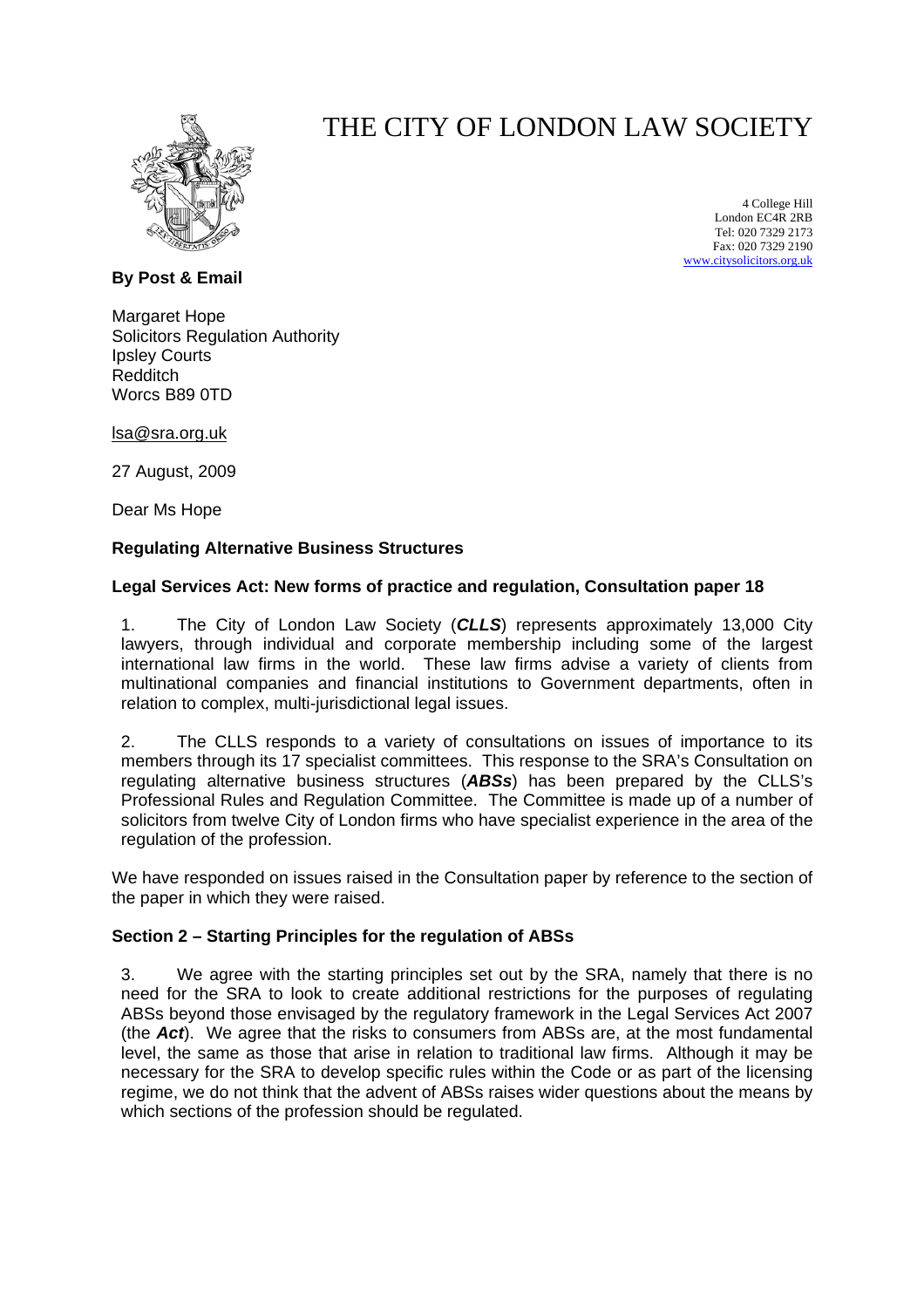

# THE CITY OF LONDON LAW SOCIETY

4 College Hill London EC4R 2RB Tel: 020 7329 2173 Fax: 020 7329 2190 [www.citysolicitors.org.uk](http://www.citysolicitors.org.uk/)

**By Post & Email**

Margaret Hope Solicitors Regulation Authority Ipsley Courts Redditch Worcs B89 0TD

[lsa@sra.org.uk](mailto:lsa@sra.org.uk)

27 August, 2009

Dear Ms Hope

#### **Regulating Alternative Business Structures**

#### **Legal Services Act: New forms of practice and regulation, Consultation paper 18**

1. The City of London Law Society (*CLLS*) represents approximately 13,000 City lawyers, through individual and corporate membership including some of the largest international law firms in the world. These law firms advise a variety of clients from multinational companies and financial institutions to Government departments, often in relation to complex, multi-jurisdictional legal issues.

2. The CLLS responds to a variety of consultations on issues of importance to its members through its 17 specialist committees. This response to the SRA's Consultation on regulating alternative business structures (*ABSs*) has been prepared by the CLLS's Professional Rules and Regulation Committee. The Committee is made up of a number of solicitors from twelve City of London firms who have specialist experience in the area of the regulation of the profession.

We have responded on issues raised in the Consultation paper by reference to the section of the paper in which they were raised.

#### **Section 2 – Starting Principles for the regulation of ABSs**

3. We agree with the starting principles set out by the SRA, namely that there is no need for the SRA to look to create additional restrictions for the purposes of regulating ABSs beyond those envisaged by the regulatory framework in the Legal Services Act 2007 (the *Act*). We agree that the risks to consumers from ABSs are, at the most fundamental level, the same as those that arise in relation to traditional law firms. Although it may be necessary for the SRA to develop specific rules within the Code or as part of the licensing regime, we do not think that the advent of ABSs raises wider questions about the means by which sections of the profession should be regulated.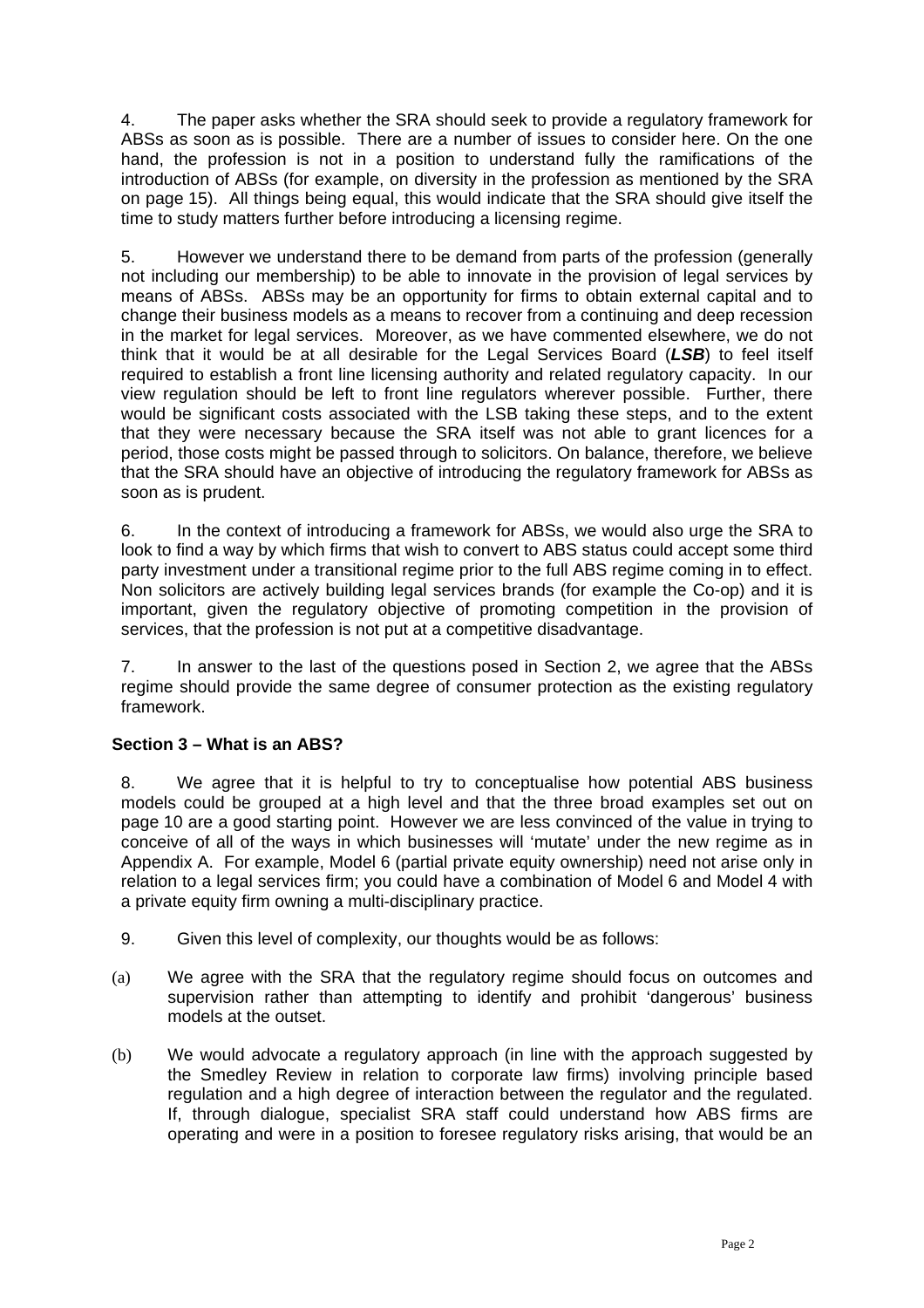4. The paper asks whether the SRA should seek to provide a regulatory framework for ABSs as soon as is possible. There are a number of issues to consider here. On the one hand, the profession is not in a position to understand fully the ramifications of the introduction of ABSs (for example, on diversity in the profession as mentioned by the SRA on page 15). All things being equal, this would indicate that the SRA should give itself the time to study matters further before introducing a licensing regime.

5. However we understand there to be demand from parts of the profession (generally not including our membership) to be able to innovate in the provision of legal services by means of ABSs. ABSs may be an opportunity for firms to obtain external capital and to change their business models as a means to recover from a continuing and deep recession in the market for legal services. Moreover, as we have commented elsewhere, we do not think that it would be at all desirable for the Legal Services Board (*LSB*) to feel itself required to establish a front line licensing authority and related regulatory capacity. In our view regulation should be left to front line regulators wherever possible. Further, there would be significant costs associated with the LSB taking these steps, and to the extent that they were necessary because the SRA itself was not able to grant licences for a period, those costs might be passed through to solicitors. On balance, therefore, we believe that the SRA should have an objective of introducing the regulatory framework for ABSs as soon as is prudent.

6. In the context of introducing a framework for ABSs, we would also urge the SRA to look to find a way by which firms that wish to convert to ABS status could accept some third party investment under a transitional regime prior to the full ABS regime coming in to effect. Non solicitors are actively building legal services brands (for example the Co-op) and it is important, given the regulatory objective of promoting competition in the provision of services, that the profession is not put at a competitive disadvantage.

7. In answer to the last of the questions posed in Section 2, we agree that the ABSs regime should provide the same degree of consumer protection as the existing regulatory framework.

## **Section 3 – What is an ABS?**

8. We agree that it is helpful to try to conceptualise how potential ABS business models could be grouped at a high level and that the three broad examples set out on page 10 are a good starting point. However we are less convinced of the value in trying to conceive of all of the ways in which businesses will 'mutate' under the new regime as in Appendix A. For example, Model 6 (partial private equity ownership) need not arise only in relation to a legal services firm; you could have a combination of Model 6 and Model 4 with a private equity firm owning a multi-disciplinary practice.

- 9. Given this level of complexity, our thoughts would be as follows:
- (a) We agree with the SRA that the regulatory regime should focus on outcomes and supervision rather than attempting to identify and prohibit 'dangerous' business models at the outset.
- (b) We would advocate a regulatory approach (in line with the approach suggested by the Smedley Review in relation to corporate law firms) involving principle based regulation and a high degree of interaction between the regulator and the regulated. If, through dialogue, specialist SRA staff could understand how ABS firms are operating and were in a position to foresee regulatory risks arising, that would be an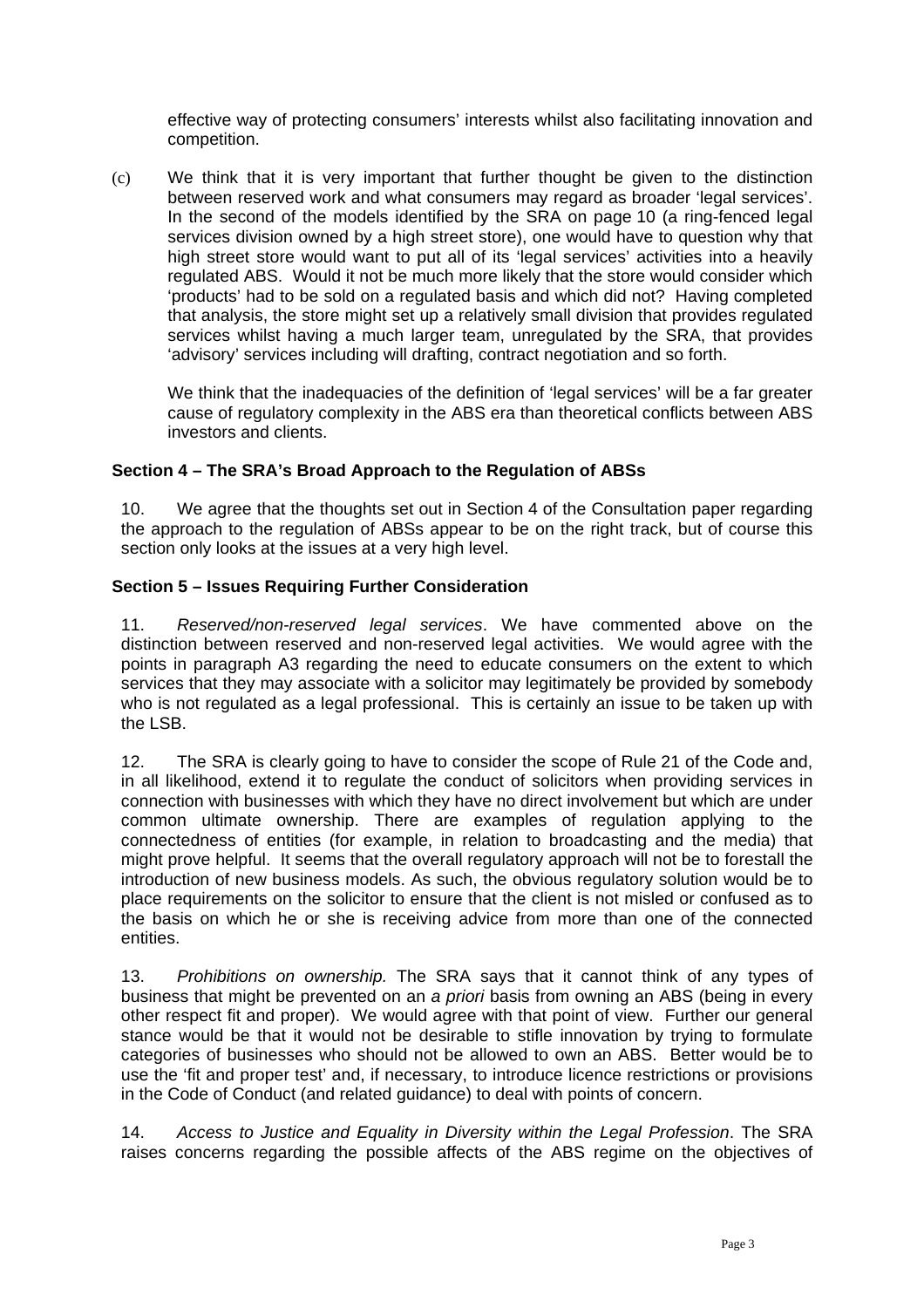effective way of protecting consumers' interests whilst also facilitating innovation and competition.

(c) We think that it is very important that further thought be given to the distinction between reserved work and what consumers may regard as broader 'legal services'. In the second of the models identified by the SRA on page 10 (a ring-fenced legal services division owned by a high street store), one would have to question why that high street store would want to put all of its 'legal services' activities into a heavily regulated ABS. Would it not be much more likely that the store would consider which 'products' had to be sold on a regulated basis and which did not? Having completed that analysis, the store might set up a relatively small division that provides regulated services whilst having a much larger team, unregulated by the SRA, that provides 'advisory' services including will drafting, contract negotiation and so forth.

We think that the inadequacies of the definition of 'legal services' will be a far greater cause of regulatory complexity in the ABS era than theoretical conflicts between ABS investors and clients.

### **Section 4 – The SRA's Broad Approach to the Regulation of ABSs**

10. We agree that the thoughts set out in Section 4 of the Consultation paper regarding the approach to the regulation of ABSs appear to be on the right track, but of course this section only looks at the issues at a very high level.

#### **Section 5 – Issues Requiring Further Consideration**

11. *Reserved/non-reserved legal services*. We have commented above on the distinction between reserved and non-reserved legal activities. We would agree with the points in paragraph A3 regarding the need to educate consumers on the extent to which services that they may associate with a solicitor may legitimately be provided by somebody who is not regulated as a legal professional. This is certainly an issue to be taken up with the LSB.

12. The SRA is clearly going to have to consider the scope of Rule 21 of the Code and, in all likelihood, extend it to regulate the conduct of solicitors when providing services in connection with businesses with which they have no direct involvement but which are under common ultimate ownership. There are examples of regulation applying to the connectedness of entities (for example, in relation to broadcasting and the media) that might prove helpful. It seems that the overall regulatory approach will not be to forestall the introduction of new business models. As such, the obvious regulatory solution would be to place requirements on the solicitor to ensure that the client is not misled or confused as to the basis on which he or she is receiving advice from more than one of the connected entities.

13. *Prohibitions on ownership.* The SRA says that it cannot think of any types of business that might be prevented on an *a priori* basis from owning an ABS (being in every other respect fit and proper). We would agree with that point of view. Further our general stance would be that it would not be desirable to stifle innovation by trying to formulate categories of businesses who should not be allowed to own an ABS. Better would be to use the 'fit and proper test' and, if necessary, to introduce licence restrictions or provisions in the Code of Conduct (and related guidance) to deal with points of concern.

14. *Access to Justice and Equality in Diversity within the Legal Profession*. The SRA raises concerns regarding the possible affects of the ABS regime on the objectives of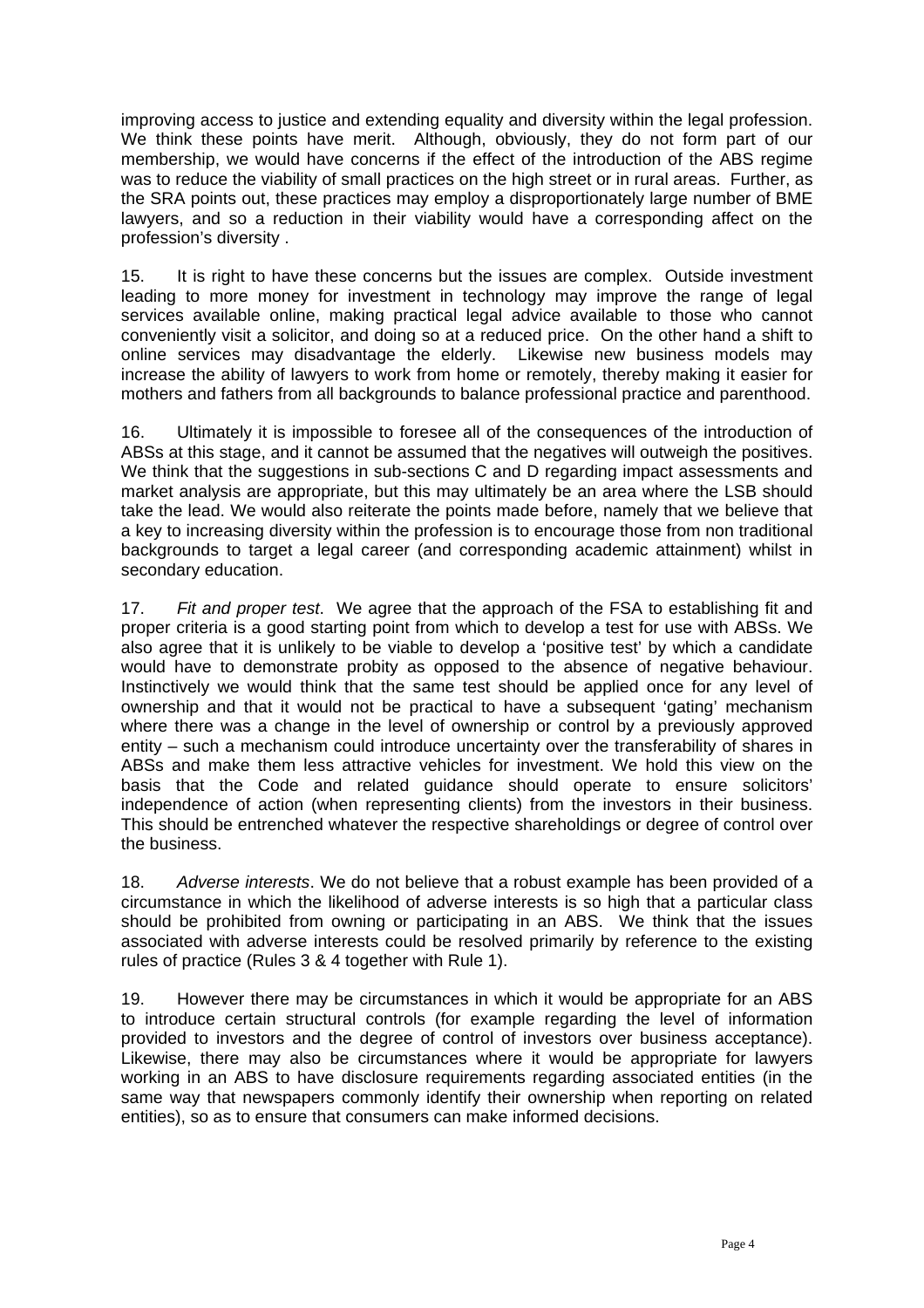improving access to justice and extending equality and diversity within the legal profession. We think these points have merit. Although, obviously, they do not form part of our membership, we would have concerns if the effect of the introduction of the ABS regime was to reduce the viability of small practices on the high street or in rural areas. Further, as the SRA points out, these practices may employ a disproportionately large number of BME lawyers, and so a reduction in their viability would have a corresponding affect on the profession's diversity .

15. It is right to have these concerns but the issues are complex. Outside investment leading to more money for investment in technology may improve the range of legal services available online, making practical legal advice available to those who cannot conveniently visit a solicitor, and doing so at a reduced price. On the other hand a shift to online services may disadvantage the elderly. Likewise new business models may increase the ability of lawyers to work from home or remotely, thereby making it easier for mothers and fathers from all backgrounds to balance professional practice and parenthood.

16. Ultimately it is impossible to foresee all of the consequences of the introduction of ABSs at this stage, and it cannot be assumed that the negatives will outweigh the positives. We think that the suggestions in sub-sections C and D regarding impact assessments and market analysis are appropriate, but this may ultimately be an area where the LSB should take the lead. We would also reiterate the points made before, namely that we believe that a key to increasing diversity within the profession is to encourage those from non traditional backgrounds to target a legal career (and corresponding academic attainment) whilst in secondary education.

17. *Fit and proper test*. We agree that the approach of the FSA to establishing fit and proper criteria is a good starting point from which to develop a test for use with ABSs. We also agree that it is unlikely to be viable to develop a 'positive test' by which a candidate would have to demonstrate probity as opposed to the absence of negative behaviour. Instinctively we would think that the same test should be applied once for any level of ownership and that it would not be practical to have a subsequent 'gating' mechanism where there was a change in the level of ownership or control by a previously approved entity – such a mechanism could introduce uncertainty over the transferability of shares in ABSs and make them less attractive vehicles for investment. We hold this view on the basis that the Code and related guidance should operate to ensure solicitors' independence of action (when representing clients) from the investors in their business. This should be entrenched whatever the respective shareholdings or degree of control over the business.

18. *Adverse interests*. We do not believe that a robust example has been provided of a circumstance in which the likelihood of adverse interests is so high that a particular class should be prohibited from owning or participating in an ABS. We think that the issues associated with adverse interests could be resolved primarily by reference to the existing rules of practice (Rules 3 & 4 together with Rule 1).

19. However there may be circumstances in which it would be appropriate for an ABS to introduce certain structural controls (for example regarding the level of information provided to investors and the degree of control of investors over business acceptance). Likewise, there may also be circumstances where it would be appropriate for lawyers working in an ABS to have disclosure requirements regarding associated entities (in the same way that newspapers commonly identify their ownership when reporting on related entities), so as to ensure that consumers can make informed decisions.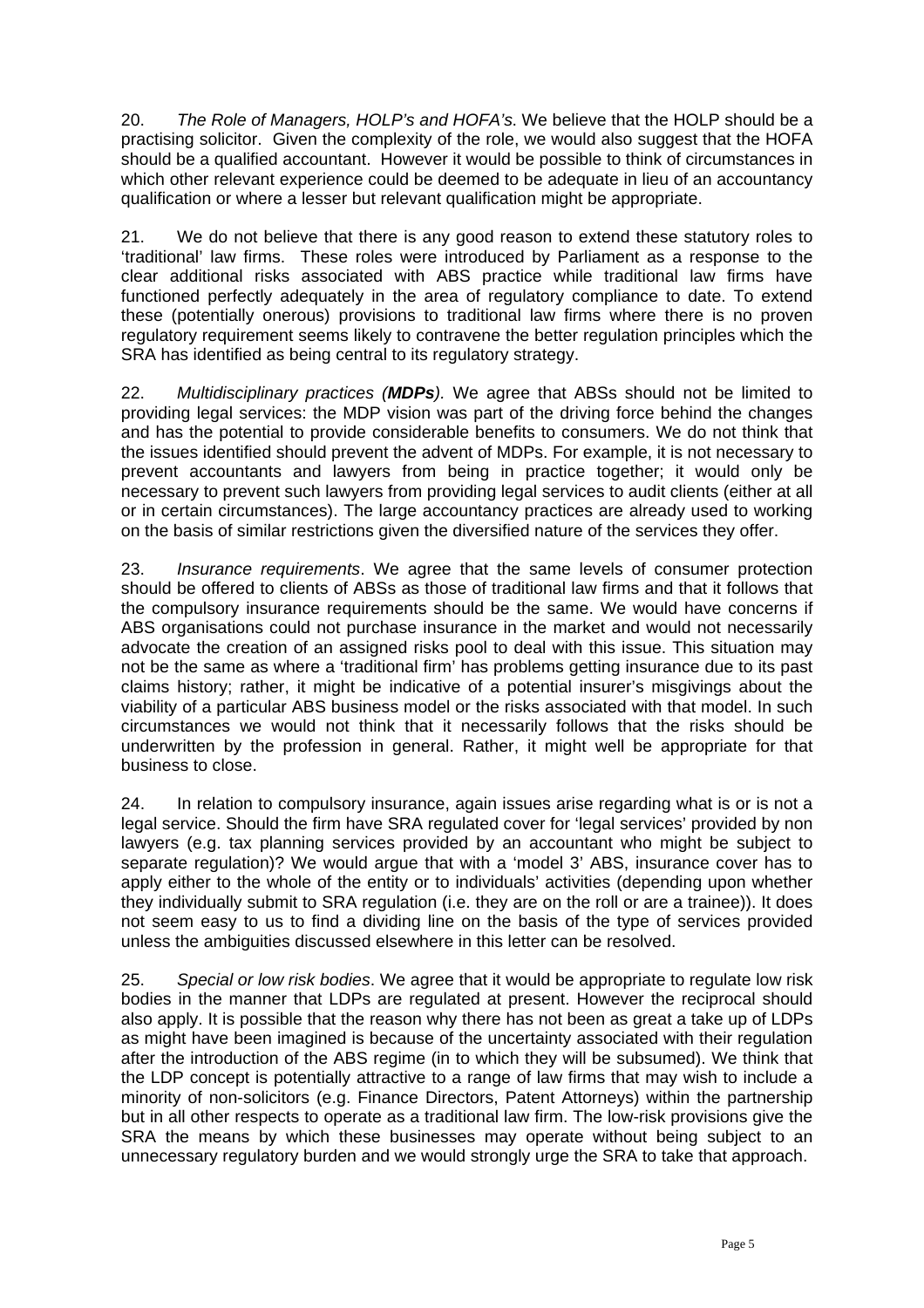20. *The Role of Managers, HOLP's and HOFA's*. We believe that the HOLP should be a practising solicitor. Given the complexity of the role, we would also suggest that the HOFA should be a qualified accountant. However it would be possible to think of circumstances in which other relevant experience could be deemed to be adequate in lieu of an accountancy qualification or where a lesser but relevant qualification might be appropriate.

21. We do not believe that there is any good reason to extend these statutory roles to 'traditional' law firms. These roles were introduced by Parliament as a response to the clear additional risks associated with ABS practice while traditional law firms have functioned perfectly adequately in the area of regulatory compliance to date. To extend these (potentially onerous) provisions to traditional law firms where there is no proven regulatory requirement seems likely to contravene the better regulation principles which the SRA has identified as being central to its regulatory strategy.

22. *Multidisciplinary practices (MDPs).* We agree that ABSs should not be limited to providing legal services: the MDP vision was part of the driving force behind the changes and has the potential to provide considerable benefits to consumers. We do not think that the issues identified should prevent the advent of MDPs. For example, it is not necessary to prevent accountants and lawyers from being in practice together; it would only be necessary to prevent such lawyers from providing legal services to audit clients (either at all or in certain circumstances). The large accountancy practices are already used to working on the basis of similar restrictions given the diversified nature of the services they offer.

23. *Insurance requirements*. We agree that the same levels of consumer protection should be offered to clients of ABSs as those of traditional law firms and that it follows that the compulsory insurance requirements should be the same. We would have concerns if ABS organisations could not purchase insurance in the market and would not necessarily advocate the creation of an assigned risks pool to deal with this issue. This situation may not be the same as where a 'traditional firm' has problems getting insurance due to its past claims history; rather, it might be indicative of a potential insurer's misgivings about the viability of a particular ABS business model or the risks associated with that model. In such circumstances we would not think that it necessarily follows that the risks should be underwritten by the profession in general. Rather, it might well be appropriate for that business to close.

24. In relation to compulsory insurance, again issues arise regarding what is or is not a legal service. Should the firm have SRA regulated cover for 'legal services' provided by non lawyers (e.g. tax planning services provided by an accountant who might be subject to separate regulation)? We would argue that with a 'model 3' ABS, insurance cover has to apply either to the whole of the entity or to individuals' activities (depending upon whether they individually submit to SRA regulation (i.e. they are on the roll or are a trainee)). It does not seem easy to us to find a dividing line on the basis of the type of services provided unless the ambiguities discussed elsewhere in this letter can be resolved.

25. *Special or low risk bodies*. We agree that it would be appropriate to regulate low risk bodies in the manner that LDPs are regulated at present. However the reciprocal should also apply. It is possible that the reason why there has not been as great a take up of LDPs as might have been imagined is because of the uncertainty associated with their regulation after the introduction of the ABS regime (in to which they will be subsumed). We think that the LDP concept is potentially attractive to a range of law firms that may wish to include a minority of non-solicitors (e.g. Finance Directors, Patent Attorneys) within the partnership but in all other respects to operate as a traditional law firm. The low-risk provisions give the SRA the means by which these businesses may operate without being subject to an unnecessary regulatory burden and we would strongly urge the SRA to take that approach.